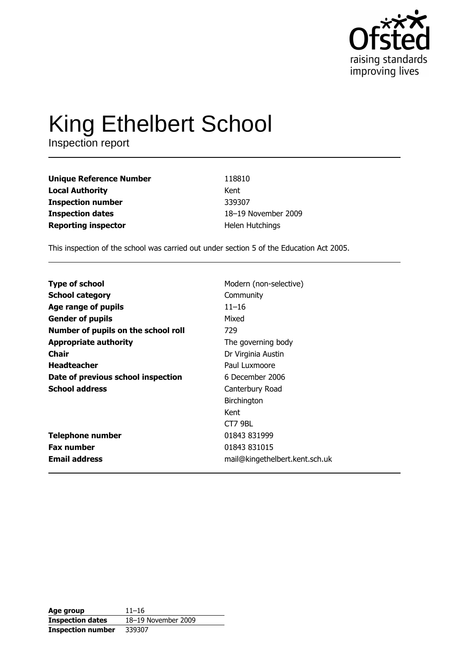

# King Ethelbert School

| <b>Unique Reference Number</b> | 118810              |
|--------------------------------|---------------------|
| <b>Local Authority</b>         | Kent                |
| <b>Inspection number</b>       | 339307              |
| <b>Inspection dates</b>        | 18-19 November 2009 |
| <b>Reporting inspector</b>     | Helen Hutchings     |

This inspection of the school was carried out under section 5 of the Education Act 2005.

| <b>Type of school</b>               | Modern (non-selective)         |
|-------------------------------------|--------------------------------|
| <b>School category</b>              | Community                      |
| Age range of pupils                 | $11 - 16$                      |
| <b>Gender of pupils</b>             | Mixed                          |
| Number of pupils on the school roll | 729                            |
| <b>Appropriate authority</b>        | The governing body             |
| <b>Chair</b>                        | Dr Virginia Austin             |
| <b>Headteacher</b>                  | Paul Luxmoore                  |
| Date of previous school inspection  | 6 December 2006                |
| <b>School address</b>               | Canterbury Road                |
|                                     | Birchington                    |
|                                     | Kent                           |
|                                     | CT7 9BL                        |
| <b>Telephone number</b>             | 01843 831999                   |
| <b>Fax number</b>                   | 01843 831015                   |
| <b>Email address</b>                | mail@kingethelbert.kent.sch.uk |

| Age group                | $11 - 16$           |
|--------------------------|---------------------|
| <b>Inspection dates</b>  | 18-19 November 2009 |
| <b>Inspection number</b> | 339307              |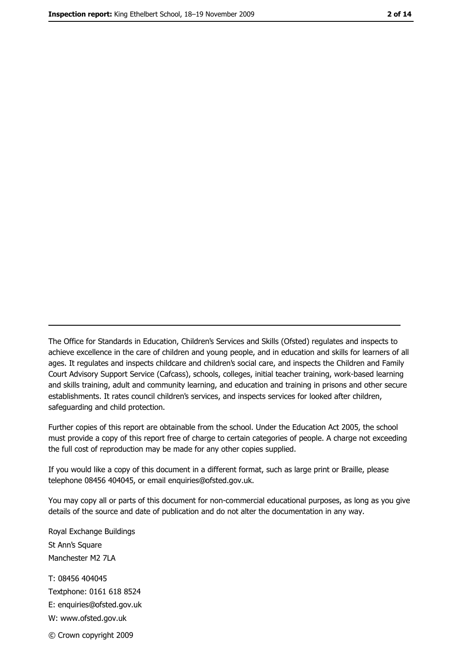The Office for Standards in Education, Children's Services and Skills (Ofsted) regulates and inspects to achieve excellence in the care of children and young people, and in education and skills for learners of all ages. It regulates and inspects childcare and children's social care, and inspects the Children and Family Court Advisory Support Service (Cafcass), schools, colleges, initial teacher training, work-based learning and skills training, adult and community learning, and education and training in prisons and other secure establishments. It rates council children's services, and inspects services for looked after children, safequarding and child protection.

Further copies of this report are obtainable from the school. Under the Education Act 2005, the school must provide a copy of this report free of charge to certain categories of people. A charge not exceeding the full cost of reproduction may be made for any other copies supplied.

If you would like a copy of this document in a different format, such as large print or Braille, please telephone 08456 404045, or email enquiries@ofsted.gov.uk.

You may copy all or parts of this document for non-commercial educational purposes, as long as you give details of the source and date of publication and do not alter the documentation in any way.

Royal Exchange Buildings St Ann's Square Manchester M2 7LA T: 08456 404045 Textphone: 0161 618 8524 E: enquiries@ofsted.gov.uk W: www.ofsted.gov.uk © Crown copyright 2009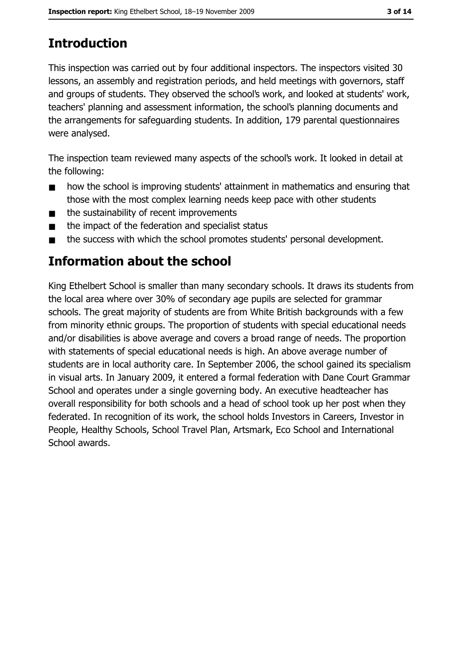# **Introduction**

This inspection was carried out by four additional inspectors. The inspectors visited 30 lessons, an assembly and registration periods, and held meetings with governors, staff and groups of students. They observed the school's work, and looked at students' work, teachers' planning and assessment information, the school's planning documents and the arrangements for safeguarding students. In addition, 179 parental questionnaires were analysed.

The inspection team reviewed many aspects of the school's work. It looked in detail at the following:

- how the school is improving students' attainment in mathematics and ensuring that  $\blacksquare$ those with the most complex learning needs keep pace with other students
- the sustainability of recent improvements  $\blacksquare$
- the impact of the federation and specialist status  $\blacksquare$
- the success with which the school promotes students' personal development.  $\blacksquare$

# **Information about the school**

King Ethelbert School is smaller than many secondary schools. It draws its students from the local area where over 30% of secondary age pupils are selected for grammar schools. The great majority of students are from White British backgrounds with a few from minority ethnic groups. The proportion of students with special educational needs and/or disabilities is above average and covers a broad range of needs. The proportion with statements of special educational needs is high. An above average number of students are in local authority care. In September 2006, the school gained its specialism in visual arts. In January 2009, it entered a formal federation with Dane Court Grammar School and operates under a single governing body. An executive headteacher has overall responsibility for both schools and a head of school took up her post when they federated. In recognition of its work, the school holds Investors in Careers, Investor in People, Healthy Schools, School Travel Plan, Artsmark, Eco School and International School awards.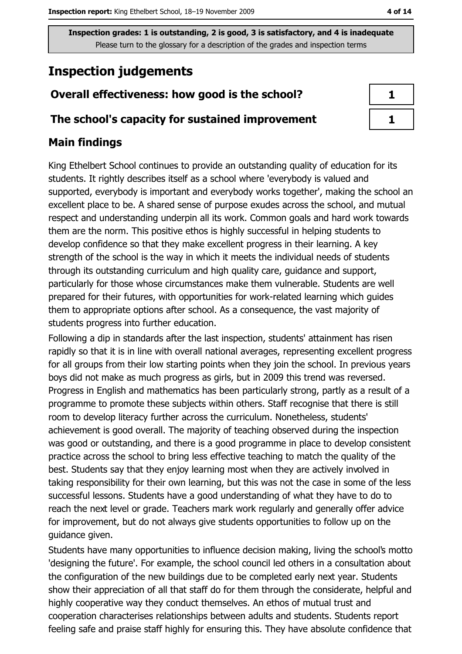Inspection grades: 1 is outstanding, 2 is good, 3 is satisfactory, and 4 is inadequate Please turn to the glossary for a description of the grades and inspection terms

# **Inspection judgements**

## Overall effectiveness: how good is the school?

#### The school's capacity for sustained improvement

## **Main findings**

King Ethelbert School continues to provide an outstanding quality of education for its students. It rightly describes itself as a school where 'everybody is valued and supported, everybody is important and everybody works together', making the school an excellent place to be. A shared sense of purpose exudes across the school, and mutual respect and understanding underpin all its work. Common goals and hard work towards them are the norm. This positive ethos is highly successful in helping students to develop confidence so that they make excellent progress in their learning. A key strength of the school is the way in which it meets the individual needs of students through its outstanding curriculum and high quality care, guidance and support, particularly for those whose circumstances make them vulnerable. Students are well prepared for their futures, with opportunities for work-related learning which guides them to appropriate options after school. As a consequence, the vast majority of students progress into further education.

Following a dip in standards after the last inspection, students' attainment has risen rapidly so that it is in line with overall national averages, representing excellent progress for all groups from their low starting points when they join the school. In previous years boys did not make as much progress as girls, but in 2009 this trend was reversed. Progress in English and mathematics has been particularly strong, partly as a result of a programme to promote these subjects within others. Staff recognise that there is still room to develop literacy further across the curriculum. Nonetheless, students' achievement is good overall. The majority of teaching observed during the inspection was good or outstanding, and there is a good programme in place to develop consistent practice across the school to bring less effective teaching to match the quality of the best. Students say that they enjoy learning most when they are actively involved in taking responsibility for their own learning, but this was not the case in some of the less successful lessons. Students have a good understanding of what they have to do to reach the next level or grade. Teachers mark work regularly and generally offer advice for improvement, but do not always give students opportunities to follow up on the quidance given.

Students have many opportunities to influence decision making, living the school's motto 'designing the future'. For example, the school council led others in a consultation about the configuration of the new buildings due to be completed early next year. Students show their appreciation of all that staff do for them through the considerate, helpful and highly cooperative way they conduct themselves. An ethos of mutual trust and cooperation characterises relationships between adults and students. Students report feeling safe and praise staff highly for ensuring this. They have absolute confidence that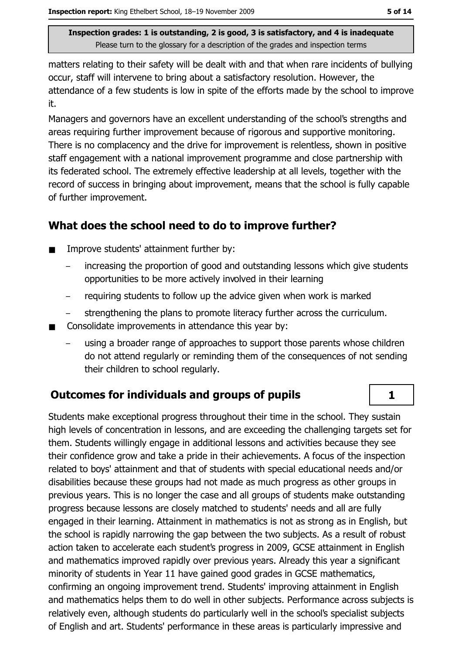Inspection grades: 1 is outstanding, 2 is good, 3 is satisfactory, and 4 is inadequate Please turn to the glossary for a description of the grades and inspection terms

matters relating to their safety will be dealt with and that when rare incidents of bullying occur, staff will intervene to bring about a satisfactory resolution. However, the attendance of a few students is low in spite of the efforts made by the school to improve it.

Managers and governors have an excellent understanding of the school's strengths and areas requiring further improvement because of rigorous and supportive monitoring. There is no complacency and the drive for improvement is relentless, shown in positive staff engagement with a national improvement programme and close partnership with its federated school. The extremely effective leadership at all levels, together with the record of success in bringing about improvement, means that the school is fully capable of further improvement.

## What does the school need to do to improve further?

- Improve students' attainment further by:  $\blacksquare$ 
	- increasing the proportion of good and outstanding lessons which give students opportunities to be more actively involved in their learning
	- requiring students to follow up the advice given when work is marked
	- strengthening the plans to promote literacy further across the curriculum.
- Consolidate improvements in attendance this year by:  $\blacksquare$ 
	- using a broader range of approaches to support those parents whose children do not attend regularly or reminding them of the consequences of not sending their children to school regularly.

## **Outcomes for individuals and groups of pupils**

Students make exceptional progress throughout their time in the school. They sustain high levels of concentration in lessons, and are exceeding the challenging targets set for them. Students willingly engage in additional lessons and activities because they see their confidence grow and take a pride in their achievements. A focus of the inspection related to boys' attainment and that of students with special educational needs and/or disabilities because these groups had not made as much progress as other groups in previous years. This is no longer the case and all groups of students make outstanding progress because lessons are closely matched to students' needs and all are fully engaged in their learning. Attainment in mathematics is not as strong as in English, but the school is rapidly narrowing the gap between the two subjects. As a result of robust action taken to accelerate each student's progress in 2009, GCSE attainment in English and mathematics improved rapidly over previous years. Already this year a significant minority of students in Year 11 have gained good grades in GCSE mathematics, confirming an ongoing improvement trend. Students' improving attainment in English and mathematics helps them to do well in other subjects. Performance across subjects is relatively even, although students do particularly well in the school's specialist subjects of English and art. Students' performance in these areas is particularly impressive and

 $\mathbf{1}$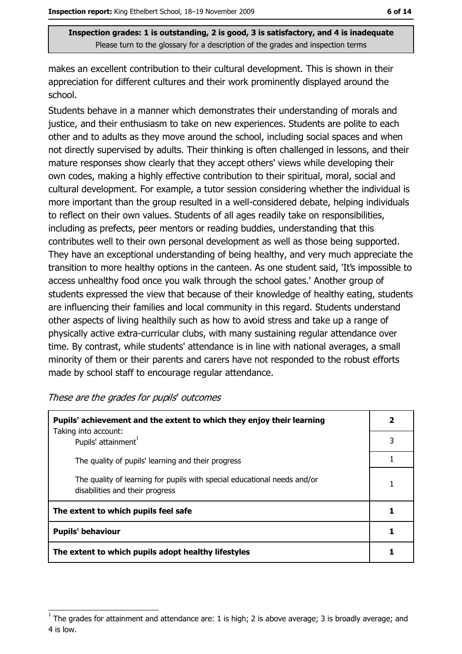Inspection grades: 1 is outstanding, 2 is good, 3 is satisfactory, and 4 is inadequate Please turn to the glossary for a description of the grades and inspection terms

makes an excellent contribution to their cultural development. This is shown in their appreciation for different cultures and their work prominently displayed around the school.

Students behave in a manner which demonstrates their understanding of morals and justice, and their enthusiasm to take on new experiences. Students are polite to each other and to adults as they move around the school, including social spaces and when not directly supervised by adults. Their thinking is often challenged in lessons, and their mature responses show clearly that they accept others' views while developing their own codes, making a highly effective contribution to their spiritual, moral, social and cultural development. For example, a tutor session considering whether the individual is more important than the group resulted in a well-considered debate, helping individuals to reflect on their own values. Students of all ages readily take on responsibilities, including as prefects, peer mentors or reading buddies, understanding that this contributes well to their own personal development as well as those being supported. They have an exceptional understanding of being healthy, and very much appreciate the transition to more healthy options in the canteen. As one student said, 'It's impossible to access unhealthy food once you walk through the school gates.' Another group of students expressed the view that because of their knowledge of healthy eating, students are influencing their families and local community in this regard. Students understand other aspects of living healthily such as how to avoid stress and take up a range of physically active extra-curricular clubs, with many sustaining regular attendance over time. By contrast, while students' attendance is in line with national averages, a small minority of them or their parents and carers have not responded to the robust efforts made by school staff to encourage regular attendance.

| These are the grades for pupils' outcomes |  |  |  |
|-------------------------------------------|--|--|--|
|-------------------------------------------|--|--|--|

| Pupils' achievement and the extent to which they enjoy their learning                                       |   |  |
|-------------------------------------------------------------------------------------------------------------|---|--|
| Taking into account:<br>Pupils' attainment <sup>1</sup>                                                     | 3 |  |
| The quality of pupils' learning and their progress                                                          |   |  |
| The quality of learning for pupils with special educational needs and/or<br>disabilities and their progress |   |  |
| The extent to which pupils feel safe                                                                        |   |  |
| <b>Pupils' behaviour</b>                                                                                    |   |  |
| The extent to which pupils adopt healthy lifestyles                                                         |   |  |

The grades for attainment and attendance are: 1 is high; 2 is above average; 3 is broadly average; and 4 is low.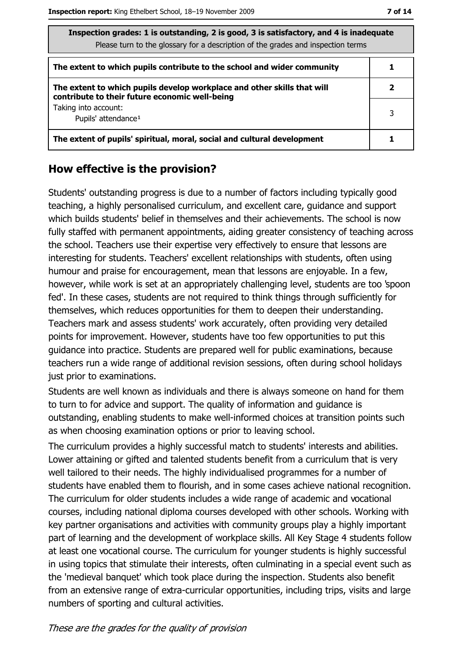| Inspection grades: 1 is outstanding, 2 is good, 3 is satisfactory, and 4 is inadequate<br>Please turn to the glossary for a description of the grades and inspection terms |   |
|----------------------------------------------------------------------------------------------------------------------------------------------------------------------------|---|
| The extent to which pupils contribute to the school and wider community                                                                                                    |   |
| The extent to which pupils develop workplace and other skills that will<br>contribute to their future economic well-being                                                  |   |
| Taking into account:<br>Pupils' attendance <sup>1</sup>                                                                                                                    | 3 |
| The extent of pupils' spiritual, moral, social and cultural development                                                                                                    |   |

#### How effective is the provision?

Students' outstanding progress is due to a number of factors including typically good teaching, a highly personalised curriculum, and excellent care, guidance and support which builds students' belief in themselves and their achievements. The school is now fully staffed with permanent appointments, aiding greater consistency of teaching across the school. Teachers use their expertise very effectively to ensure that lessons are interesting for students. Teachers' excellent relationships with students, often using humour and praise for encouragement, mean that lessons are enjoyable. In a few, however, while work is set at an appropriately challenging level, students are too 'spoon fed'. In these cases, students are not required to think things through sufficiently for themselves, which reduces opportunities for them to deepen their understanding. Teachers mark and assess students' work accurately, often providing very detailed points for improvement. However, students have too few opportunities to put this quidance into practice. Students are prepared well for public examinations, because teachers run a wide range of additional revision sessions, often during school holidays just prior to examinations.

Students are well known as individuals and there is always someone on hand for them to turn to for advice and support. The quality of information and guidance is outstanding, enabling students to make well-informed choices at transition points such as when choosing examination options or prior to leaving school.

The curriculum provides a highly successful match to students' interests and abilities. Lower attaining or gifted and talented students benefit from a curriculum that is very well tailored to their needs. The highly individualised programmes for a number of students have enabled them to flourish, and in some cases achieve national recognition. The curriculum for older students includes a wide range of academic and vocational courses, including national diploma courses developed with other schools. Working with key partner organisations and activities with community groups play a highly important part of learning and the development of workplace skills. All Key Stage 4 students follow at least one vocational course. The curriculum for younger students is highly successful in using topics that stimulate their interests, often culminating in a special event such as the 'medieval banquet' which took place during the inspection. Students also benefit from an extensive range of extra-curricular opportunities, including trips, visits and large numbers of sporting and cultural activities.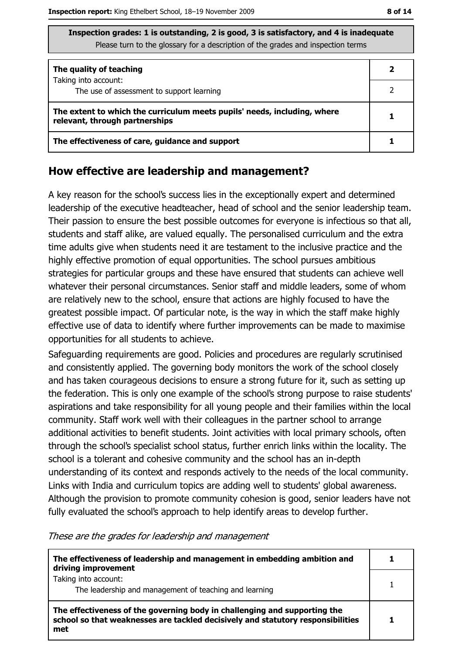| Inspection grades: 1 is outstanding, 2 is good, 3 is satisfactory, and 4 is inadequate |
|----------------------------------------------------------------------------------------|
| Please turn to the glossary for a description of the grades and inspection terms       |

| The quality of teaching                                                                                    |  |  |
|------------------------------------------------------------------------------------------------------------|--|--|
| Taking into account:<br>The use of assessment to support learning                                          |  |  |
| The extent to which the curriculum meets pupils' needs, including, where<br>relevant, through partnerships |  |  |
| The effectiveness of care, guidance and support                                                            |  |  |

#### How effective are leadership and management?

A key reason for the school's success lies in the exceptionally expert and determined leadership of the executive headteacher, head of school and the senior leadership team. Their passion to ensure the best possible outcomes for everyone is infectious so that all, students and staff alike, are valued equally. The personalised curriculum and the extra time adults give when students need it are testament to the inclusive practice and the highly effective promotion of equal opportunities. The school pursues ambitious strategies for particular groups and these have ensured that students can achieve well whatever their personal circumstances. Senior staff and middle leaders, some of whom are relatively new to the school, ensure that actions are highly focused to have the greatest possible impact. Of particular note, is the way in which the staff make highly effective use of data to identify where further improvements can be made to maximise opportunities for all students to achieve.

Safeguarding requirements are good. Policies and procedures are regularly scrutinised and consistently applied. The governing body monitors the work of the school closely and has taken courageous decisions to ensure a strong future for it, such as setting up the federation. This is only one example of the school's strong purpose to raise students' aspirations and take responsibility for all young people and their families within the local community. Staff work well with their colleagues in the partner school to arrange additional activities to benefit students. Joint activities with local primary schools, often through the school's specialist school status, further enrich links within the locality. The school is a tolerant and cohesive community and the school has an in-depth understanding of its context and responds actively to the needs of the local community. Links with India and curriculum topics are adding well to students' global awareness. Although the provision to promote community cohesion is good, senior leaders have not fully evaluated the school's approach to help identify areas to develop further.

These are the grades for leadership and management

| The effectiveness of leadership and management in embedding ambition and<br>driving improvement                                                                     |  |
|---------------------------------------------------------------------------------------------------------------------------------------------------------------------|--|
| Taking into account:<br>The leadership and management of teaching and learning                                                                                      |  |
| The effectiveness of the governing body in challenging and supporting the<br>school so that weaknesses are tackled decisively and statutory responsibilities<br>met |  |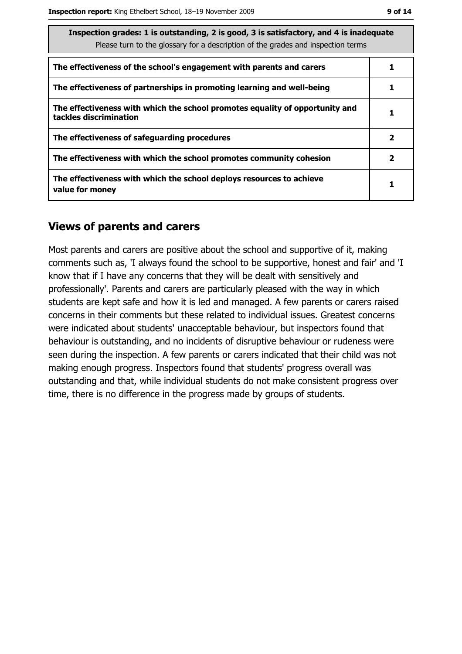| Inspection grades: 1 is outstanding, 2 is good, 3 is satisfactory, and 4 is inadequate<br>Please turn to the glossary for a description of the grades and inspection terms |  |  |  |
|----------------------------------------------------------------------------------------------------------------------------------------------------------------------------|--|--|--|
| The effectiveness of the school's engagement with parents and carers                                                                                                       |  |  |  |
| The effectiveness of partnerships in promoting learning and well-being                                                                                                     |  |  |  |
| The effectiveness with which the school promotes equality of opportunity and<br>tackles discrimination                                                                     |  |  |  |
| The effectiveness of safeguarding procedures                                                                                                                               |  |  |  |
| The effectiveness with which the school promotes community cohesion                                                                                                        |  |  |  |
| The effectiveness with which the school deploys resources to achieve<br>value for money                                                                                    |  |  |  |

#### **Views of parents and carers**

Most parents and carers are positive about the school and supportive of it, making comments such as, 'I always found the school to be supportive, honest and fair' and 'I know that if I have any concerns that they will be dealt with sensitively and professionally'. Parents and carers are particularly pleased with the way in which students are kept safe and how it is led and managed. A few parents or carers raised concerns in their comments but these related to individual issues. Greatest concerns were indicated about students' unacceptable behaviour, but inspectors found that behaviour is outstanding, and no incidents of disruptive behaviour or rudeness were seen during the inspection. A few parents or carers indicated that their child was not making enough progress. Inspectors found that students' progress overall was outstanding and that, while individual students do not make consistent progress over time, there is no difference in the progress made by groups of students.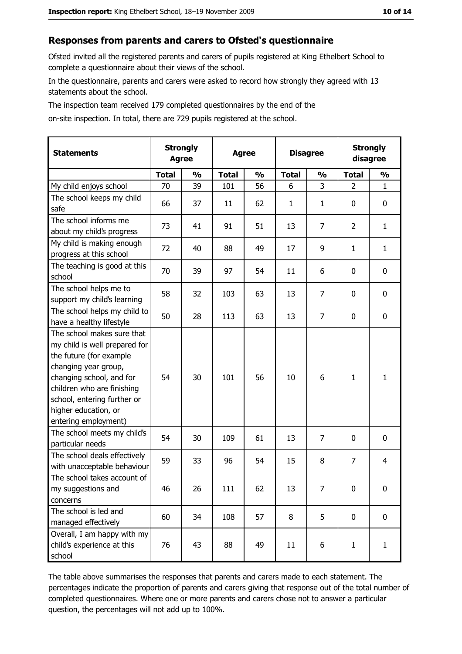#### Responses from parents and carers to Ofsted's questionnaire

Ofsted invited all the registered parents and carers of pupils registered at King Ethelbert School to complete a questionnaire about their views of the school.

In the questionnaire, parents and carers were asked to record how strongly they agreed with 13 statements about the school.

The inspection team received 179 completed questionnaires by the end of the

on-site inspection. In total, there are 729 pupils registered at the school.

| <b>Statements</b>                                                                                                                                                                                                                                       | <b>Strongly</b><br><b>Agree</b> |               | <b>Agree</b> |               |              |                | <b>Disagree</b> |               | <b>Strongly</b><br>disagree |  |
|---------------------------------------------------------------------------------------------------------------------------------------------------------------------------------------------------------------------------------------------------------|---------------------------------|---------------|--------------|---------------|--------------|----------------|-----------------|---------------|-----------------------------|--|
|                                                                                                                                                                                                                                                         | <b>Total</b>                    | $\frac{0}{0}$ | <b>Total</b> | $\frac{0}{0}$ | <b>Total</b> | $\frac{0}{0}$  | <b>Total</b>    | $\frac{0}{0}$ |                             |  |
| My child enjoys school                                                                                                                                                                                                                                  | 70                              | 39            | 101          | 56            | 6            | 3              | $\overline{2}$  | $\mathbf{1}$  |                             |  |
| The school keeps my child<br>safe                                                                                                                                                                                                                       | 66                              | 37            | 11           | 62            | 1            | 1              | 0               | 0             |                             |  |
| The school informs me<br>about my child's progress                                                                                                                                                                                                      | 73                              | 41            | 91           | 51            | 13           | 7              | 2               | $\mathbf{1}$  |                             |  |
| My child is making enough<br>progress at this school                                                                                                                                                                                                    | 72                              | 40            | 88           | 49            | 17           | 9              | $\mathbf{1}$    | $\mathbf{1}$  |                             |  |
| The teaching is good at this<br>school                                                                                                                                                                                                                  | 70                              | 39            | 97           | 54            | 11           | 6              | 0               | $\mathbf 0$   |                             |  |
| The school helps me to<br>support my child's learning                                                                                                                                                                                                   | 58                              | 32            | 103          | 63            | 13           | $\overline{7}$ | 0               | $\mathbf 0$   |                             |  |
| The school helps my child to<br>have a healthy lifestyle                                                                                                                                                                                                | 50                              | 28            | 113          | 63            | 13           | 7              | 0               | $\mathbf 0$   |                             |  |
| The school makes sure that<br>my child is well prepared for<br>the future (for example<br>changing year group,<br>changing school, and for<br>children who are finishing<br>school, entering further or<br>higher education, or<br>entering employment) | 54                              | 30            | 101          | 56            | 10           | 6              | $\mathbf{1}$    | $\mathbf{1}$  |                             |  |
| The school meets my child's<br>particular needs                                                                                                                                                                                                         | 54                              | 30            | 109          | 61            | 13           | 7              | 0               | $\mathbf 0$   |                             |  |
| The school deals effectively<br>with unacceptable behaviour                                                                                                                                                                                             | 59                              | 33            | 96           | 54            | 15           | 8              | 7               | 4             |                             |  |
| The school takes account of<br>my suggestions and<br>concerns                                                                                                                                                                                           | 46                              | 26            | 111          | 62            | 13           | 7              | 0               | $\mathbf 0$   |                             |  |
| The school is led and<br>managed effectively                                                                                                                                                                                                            | 60                              | 34            | 108          | 57            | 8            | 5              | $\mathbf 0$     | $\mathbf 0$   |                             |  |
| Overall, I am happy with my<br>child's experience at this<br>school                                                                                                                                                                                     | 76                              | 43            | 88           | 49            | 11           | 6              | $\mathbf{1}$    | $\mathbf{1}$  |                             |  |

The table above summarises the responses that parents and carers made to each statement. The percentages indicate the proportion of parents and carers giving that response out of the total number of completed questionnaires. Where one or more parents and carers chose not to answer a particular question, the percentages will not add up to 100%.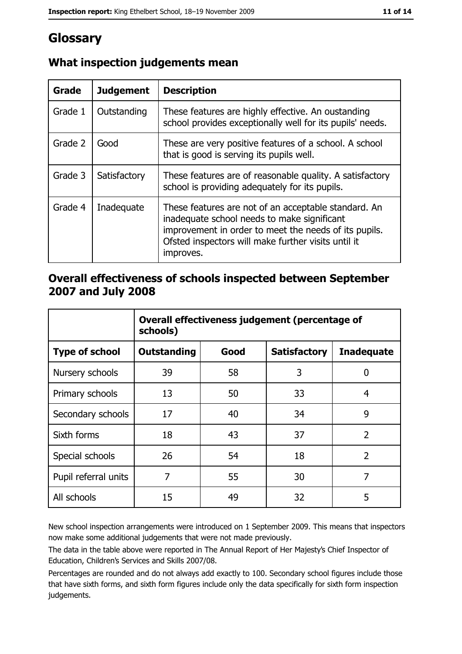# Glossary

| Grade   | <b>Judgement</b> | <b>Description</b>                                                                                                                                                                                                               |  |
|---------|------------------|----------------------------------------------------------------------------------------------------------------------------------------------------------------------------------------------------------------------------------|--|
| Grade 1 | Outstanding      | These features are highly effective. An oustanding<br>school provides exceptionally well for its pupils' needs.                                                                                                                  |  |
| Grade 2 | Good             | These are very positive features of a school. A school<br>that is good is serving its pupils well.                                                                                                                               |  |
| Grade 3 | Satisfactory     | These features are of reasonable quality. A satisfactory<br>school is providing adequately for its pupils.                                                                                                                       |  |
| Grade 4 | Inadequate       | These features are not of an acceptable standard. An<br>inadequate school needs to make significant<br>improvement in order to meet the needs of its pupils.<br>Ofsted inspectors will make further visits until it<br>improves. |  |

## What inspection judgements mean

### Overall effectiveness of schools inspected between September 2007 and July 2008

|                       | Overall effectiveness judgement (percentage of<br>schools) |      |                     |                   |  |  |
|-----------------------|------------------------------------------------------------|------|---------------------|-------------------|--|--|
| <b>Type of school</b> | <b>Outstanding</b>                                         | Good | <b>Satisfactory</b> | <b>Inadequate</b> |  |  |
| Nursery schools       | 39                                                         | 58   | 3                   | 0                 |  |  |
| Primary schools       | 13                                                         | 50   | 33                  | 4                 |  |  |
| Secondary schools     | 17                                                         | 40   | 34                  | 9                 |  |  |
| Sixth forms           | 18                                                         | 43   | 37                  | $\overline{2}$    |  |  |
| Special schools       | 26                                                         | 54   | 18                  | $\overline{2}$    |  |  |
| Pupil referral units  | 7                                                          | 55   | 30                  | 7                 |  |  |
| All schools           | 15                                                         | 49   | 32                  | 5                 |  |  |

New school inspection arrangements were introduced on 1 September 2009. This means that inspectors now make some additional judgements that were not made previously.

The data in the table above were reported in The Annual Report of Her Majesty's Chief Inspector of Education, Children's Services and Skills 2007/08.

Percentages are rounded and do not always add exactly to 100. Secondary school figures include those that have sixth forms, and sixth form figures include only the data specifically for sixth form inspection judgements.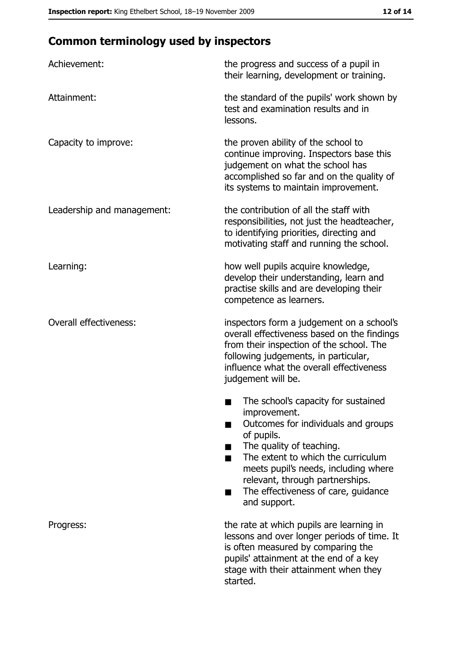# **Common terminology used by inspectors**

| Achievement:                  | the progress and success of a pupil in<br>their learning, development or training.                                                                                                                                                                                                                           |  |  |
|-------------------------------|--------------------------------------------------------------------------------------------------------------------------------------------------------------------------------------------------------------------------------------------------------------------------------------------------------------|--|--|
| Attainment:                   | the standard of the pupils' work shown by<br>test and examination results and in<br>lessons.                                                                                                                                                                                                                 |  |  |
| Capacity to improve:          | the proven ability of the school to<br>continue improving. Inspectors base this<br>judgement on what the school has<br>accomplished so far and on the quality of<br>its systems to maintain improvement.                                                                                                     |  |  |
| Leadership and management:    | the contribution of all the staff with<br>responsibilities, not just the headteacher,<br>to identifying priorities, directing and<br>motivating staff and running the school.                                                                                                                                |  |  |
| Learning:                     | how well pupils acquire knowledge,<br>develop their understanding, learn and<br>practise skills and are developing their<br>competence as learners.                                                                                                                                                          |  |  |
| <b>Overall effectiveness:</b> | inspectors form a judgement on a school's<br>overall effectiveness based on the findings<br>from their inspection of the school. The<br>following judgements, in particular,<br>influence what the overall effectiveness<br>judgement will be.                                                               |  |  |
|                               | The school's capacity for sustained<br>improvement.<br>Outcomes for individuals and groups<br>of pupils.<br>The quality of teaching.<br>The extent to which the curriculum<br>meets pupil's needs, including where<br>relevant, through partnerships.<br>The effectiveness of care, guidance<br>and support. |  |  |
| Progress:                     | the rate at which pupils are learning in<br>lessons and over longer periods of time. It<br>is often measured by comparing the<br>pupils' attainment at the end of a key<br>stage with their attainment when they<br>started.                                                                                 |  |  |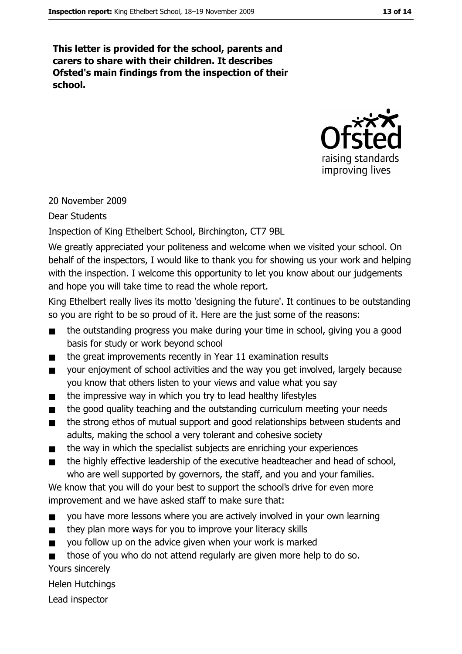This letter is provided for the school, parents and carers to share with their children. It describes Ofsted's main findings from the inspection of their school.



20 November 2009

**Dear Students** 

Inspection of King Ethelbert School, Birchington, CT7 9BL

We greatly appreciated your politeness and welcome when we visited your school. On behalf of the inspectors, I would like to thank you for showing us your work and helping with the inspection. I welcome this opportunity to let you know about our judgements and hope you will take time to read the whole report.

King Ethelbert really lives its motto 'designing the future'. It continues to be outstanding so you are right to be so proud of it. Here are the just some of the reasons:

- the outstanding progress you make during your time in school, giving you a good  $\blacksquare$ basis for study or work beyond school
- the great improvements recently in Year 11 examination results  $\blacksquare$
- your enjoyment of school activities and the way you get involved, largely because  $\blacksquare$ you know that others listen to your views and value what you say
- the impressive way in which you try to lead healthy lifestyles  $\blacksquare$
- the good quality teaching and the outstanding curriculum meeting your needs  $\blacksquare$
- the strong ethos of mutual support and good relationships between students and  $\blacksquare$ adults, making the school a very tolerant and cohesive society
- the way in which the specialist subjects are enriching your experiences  $\blacksquare$
- the highly effective leadership of the executive headteacher and head of school,  $\blacksquare$ who are well supported by governors, the staff, and you and your families.

We know that you will do your best to support the school's drive for even more improvement and we have asked staff to make sure that:

- you have more lessons where you are actively involved in your own learning  $\blacksquare$
- they plan more ways for you to improve your literacy skills  $\blacksquare$
- you follow up on the advice given when your work is marked  $\blacksquare$
- those of you who do not attend regularly are given more help to do so. Yours sincerely

**Helen Hutchings** 

Lead inspector